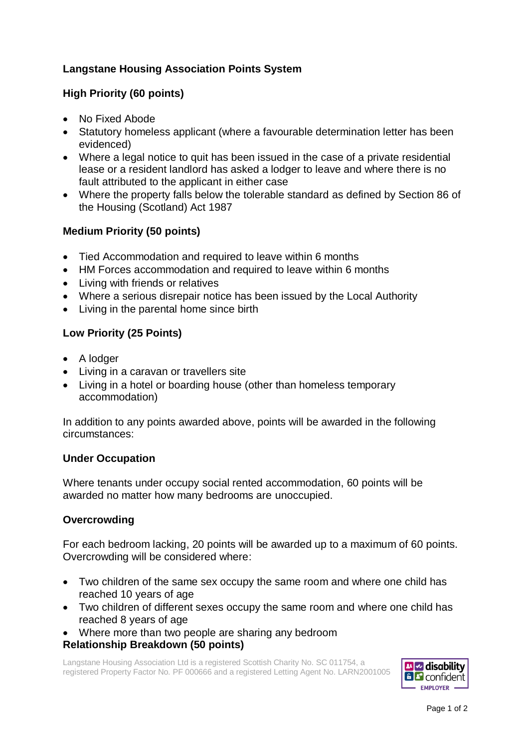# **Langstane Housing Association Points System**

## **High Priority (60 points)**

- No Fixed Abode
- Statutory homeless applicant (where a favourable determination letter has been evidenced)
- Where a legal notice to quit has been issued in the case of a private residential lease or a resident landlord has asked a lodger to leave and where there is no fault attributed to the applicant in either case
- Where the property falls below the tolerable standard as defined by Section 86 of the Housing (Scotland) Act 1987

## **Medium Priority (50 points)**

- Tied Accommodation and required to leave within 6 months
- HM Forces accommodation and required to leave within 6 months
- Living with friends or relatives
- Where a serious disrepair notice has been issued by the Local Authority
- Living in the parental home since birth

## **Low Priority (25 Points)**

- A lodger
- Living in a caravan or travellers site
- Living in a hotel or boarding house (other than homeless temporary accommodation)

In addition to any points awarded above, points will be awarded in the following circumstances:

#### **Under Occupation**

Where tenants under occupy social rented accommodation, 60 points will be awarded no matter how many bedrooms are unoccupied.

#### **Overcrowding**

For each bedroom lacking, 20 points will be awarded up to a maximum of 60 points. Overcrowding will be considered where:

- Two children of the same sex occupy the same room and where one child has reached 10 years of age
- Two children of different sexes occupy the same room and where one child has reached 8 years of age
- Where more than two people are sharing any bedroom **Relationship Breakdown (50 points)**

Langstane Housing Association Ltd is a registered Scottish Charity No. SC 011754, a registered Property Factor No. PF 000666 and a registered Letting Agent No. LARN2001005